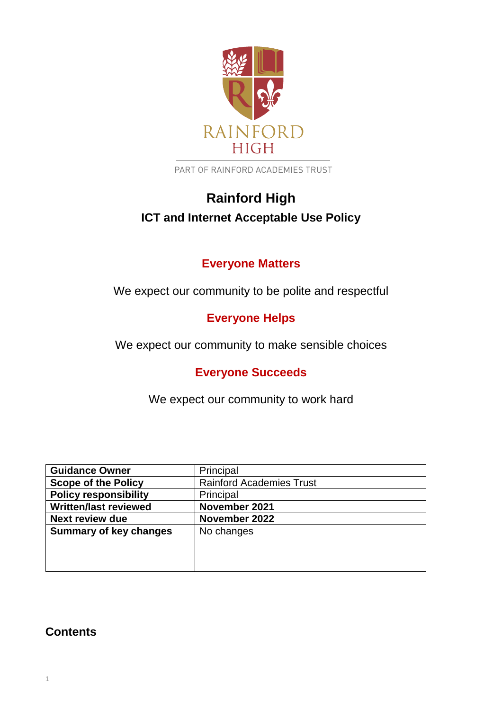

PART OF RAINFORD ACADEMIES TRUST

# **Rainford High ICT and Internet Acceptable Use Policy**

# **Everyone Matters**

We expect our community to be polite and respectful

# **Everyone Helps**

We expect our community to make sensible choices

# **Everyone Succeeds**

We expect our community to work hard

| <b>Guidance Owner</b>         | Principal                       |
|-------------------------------|---------------------------------|
| <b>Scope of the Policy</b>    | <b>Rainford Academies Trust</b> |
| <b>Policy responsibility</b>  | Principal                       |
| <b>Written/last reviewed</b>  | November 2021                   |
| <b>Next review due</b>        | November 2022                   |
| <b>Summary of key changes</b> | No changes                      |
|                               |                                 |
|                               |                                 |
|                               |                                 |

## **Contents**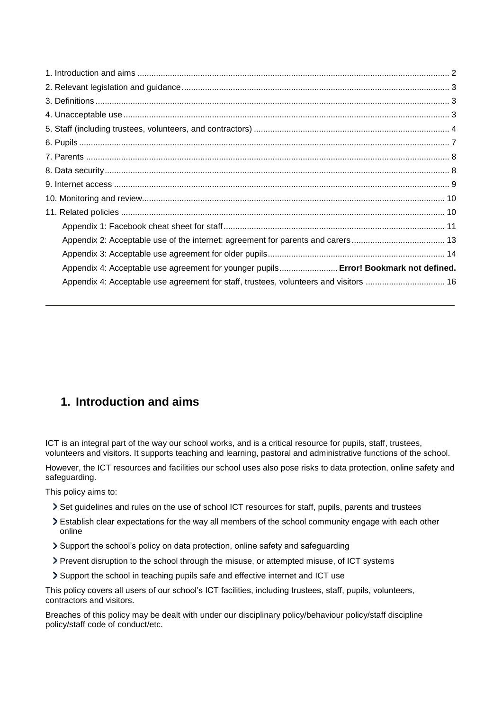| Appendix 4: Acceptable use agreement for younger pupils Error! Bookmark not defined.  |  |
|---------------------------------------------------------------------------------------|--|
| Appendix 4: Acceptable use agreement for staff, trustees, volunteers and visitors  16 |  |

## <span id="page-1-0"></span>**1. Introduction and aims**

ICT is an integral part of the way our school works, and is a critical resource for pupils, staff, trustees, volunteers and visitors. It supports teaching and learning, pastoral and administrative functions of the school.

However, the ICT resources and facilities our school uses also pose risks to data protection, online safety and safeguarding.

This policy aims to:

- Set guidelines and rules on the use of school ICT resources for staff, pupils, parents and trustees
- Establish clear expectations for the way all members of the school community engage with each other online
- Support the school's policy on data protection, online safety and safeguarding
- Prevent disruption to the school through the misuse, or attempted misuse, of ICT systems
- Support the school in teaching pupils safe and effective internet and ICT use

This policy covers all users of our school's ICT facilities, including trustees, staff, pupils, volunteers, contractors and visitors.

Breaches of this policy may be dealt with under our disciplinary policy/behaviour policy/staff discipline policy/staff code of conduct/etc.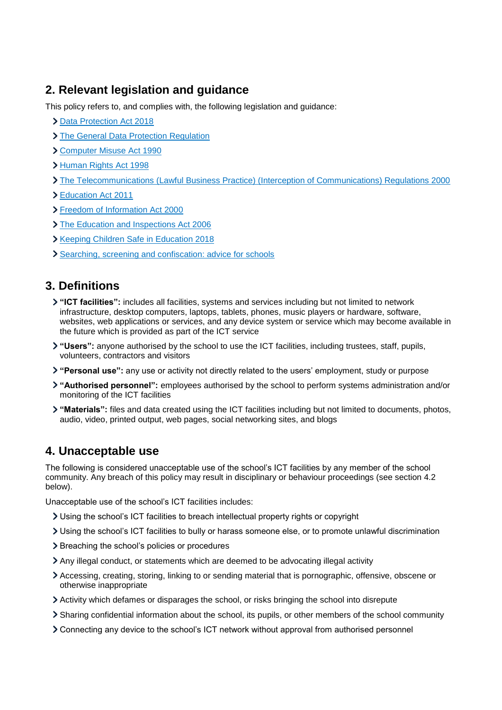## <span id="page-2-0"></span>**2. Relevant legislation and guidance**

This policy refers to, and complies with, the following legislation and guidance:

- > [Data Protection Act 2018](http://www.legislation.gov.uk/ukpga/2018/12/contents/enacted)
- > [The General Data Protection Regulation](https://eur-lex.europa.eu/legal-content/EN/TXT/HTML/?uri=CELEX:32016R0679)
- [Computer Misuse Act 1990](https://www.legislation.gov.uk/ukpga/1990/18/contents)
- [Human Rights Act 1998](https://www.legislation.gov.uk/ukpga/1998/42/contents)
- [The Telecommunications \(Lawful Business Practice\) \(Interception of Communications\) Regulations 2000](https://www.legislation.gov.uk/uksi/2000/2699/regulation/3/made)
- [Education Act 2011](http://www.legislation.gov.uk/ukpga/2011/21/section/2/enacted)
- [Freedom of Information Act 2000](https://www.legislation.gov.uk/ukpga/2000/36/contents)
- > [The Education and Inspections Act 2006](https://www.legislation.gov.uk/ukpga/2006/40/part/7/chapter/1)
- **Xeeping Children Safe in Education 2018**
- [Searching, screening and confiscation: advice for schools](https://www.gov.uk/government/publications/searching-screening-and-confiscation)

## <span id="page-2-1"></span>**3. Definitions**

- **"ICT facilities":** includes all facilities, systems and services including but not limited to network infrastructure, desktop computers, laptops, tablets, phones, music players or hardware, software, websites, web applications or services, and any device system or service which may become available in the future which is provided as part of the ICT service
- **"Users":** anyone authorised by the school to use the ICT facilities, including trustees, staff, pupils, volunteers, contractors and visitors
- **"Personal use":** any use or activity not directly related to the users' employment, study or purpose
- **"Authorised personnel":** employees authorised by the school to perform systems administration and/or monitoring of the ICT facilities
- **"Materials":** files and data created using the ICT facilities including but not limited to documents, photos, audio, video, printed output, web pages, social networking sites, and blogs

## <span id="page-2-2"></span>**4. Unacceptable use**

The following is considered unacceptable use of the school's ICT facilities by any member of the school community. Any breach of this policy may result in disciplinary or behaviour proceedings (see section 4.2 below).

Unacceptable use of the school's ICT facilities includes:

- Using the school's ICT facilities to breach intellectual property rights or copyright
- Using the school's ICT facilities to bully or harass someone else, or to promote unlawful discrimination
- > Breaching the school's policies or procedures
- Any illegal conduct, or statements which are deemed to be advocating illegal activity
- Accessing, creating, storing, linking to or sending material that is pornographic, offensive, obscene or otherwise inappropriate
- Activity which defames or disparages the school, or risks bringing the school into disrepute
- Sharing confidential information about the school, its pupils, or other members of the school community
- Connecting any device to the school's ICT network without approval from authorised personnel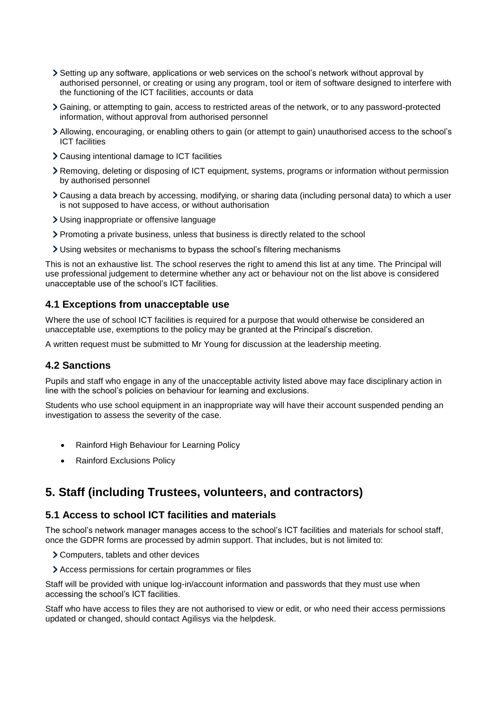- Setting up any software, applications or web services on the school's network without approval by authorised personnel, or creating or using any program, tool or item of software designed to interfere with the functioning of the ICT facilities, accounts or data
- Gaining, or attempting to gain, access to restricted areas of the network, or to any password-protected information, without approval from authorised personnel
- Allowing, encouraging, or enabling others to gain (or attempt to gain) unauthorised access to the school's ICT facilities
- Causing intentional damage to ICT facilities
- Removing, deleting or disposing of ICT equipment, systems, programs or information without permission by authorised personnel
- Causing a data breach by accessing, modifying, or sharing data (including personal data) to which a user is not supposed to have access, or without authorisation
- Using inappropriate or offensive language
- Promoting a private business, unless that business is directly related to the school
- Using websites or mechanisms to bypass the school's filtering mechanisms

This is not an exhaustive list. The school reserves the right to amend this list at any time. The Principal will use professional judgement to determine whether any act or behaviour not on the list above is considered unacceptable use of the school's ICT facilities.

#### **4.1 Exceptions from unacceptable use**

Where the use of school ICT facilities is required for a purpose that would otherwise be considered an unacceptable use, exemptions to the policy may be granted at the Principal's discretion.

A written request must be submitted to Mr Young for discussion at the leadership meeting.

#### **4.2 Sanctions**

Pupils and staff who engage in any of the unacceptable activity listed above may face disciplinary action in line with the school's policies on behaviour for learning and exclusions.

Students who use school equipment in an inappropriate way will have their account suspended pending an investigation to assess the severity of the case.

- Rainford High Behaviour for Learning Policy
- Rainford Exclusions Policy

## <span id="page-3-0"></span>**5. Staff (including Trustees, volunteers, and contractors)**

### **5.1 Access to school ICT facilities and materials**

The school's network manager manages access to the school's ICT facilities and materials for school staff, once the GDPR forms are processed by admin support. That includes, but is not limited to:

- Computers, tablets and other devices
- Access permissions for certain programmes or files

Staff will be provided with unique log-in/account information and passwords that they must use when accessing the school's ICT facilities.

Staff who have access to files they are not authorised to view or edit, or who need their access permissions updated or changed, should contact Agilisys via the helpdesk.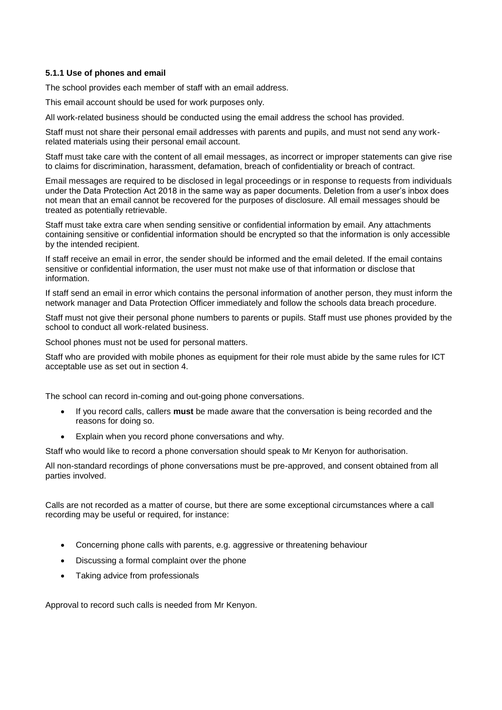#### **5.1.1 Use of phones and email**

The school provides each member of staff with an email address.

This email account should be used for work purposes only.

All work-related business should be conducted using the email address the school has provided.

Staff must not share their personal email addresses with parents and pupils, and must not send any workrelated materials using their personal email account.

Staff must take care with the content of all email messages, as incorrect or improper statements can give rise to claims for discrimination, harassment, defamation, breach of confidentiality or breach of contract.

Email messages are required to be disclosed in legal proceedings or in response to requests from individuals under the Data Protection Act 2018 in the same way as paper documents. Deletion from a user's inbox does not mean that an email cannot be recovered for the purposes of disclosure. All email messages should be treated as potentially retrievable.

Staff must take extra care when sending sensitive or confidential information by email. Any attachments containing sensitive or confidential information should be encrypted so that the information is only accessible by the intended recipient.

If staff receive an email in error, the sender should be informed and the email deleted. If the email contains sensitive or confidential information, the user must not make use of that information or disclose that information.

If staff send an email in error which contains the personal information of another person, they must inform the network manager and Data Protection Officer immediately and follow the schools data breach procedure.

Staff must not give their personal phone numbers to parents or pupils. Staff must use phones provided by the school to conduct all work-related business.

School phones must not be used for personal matters.

Staff who are provided with mobile phones as equipment for their role must abide by the same rules for ICT acceptable use as set out in section 4.

The school can record in-coming and out-going phone conversations.

- If you record calls, callers **must** be made aware that the conversation is being recorded and the reasons for doing so.
- Explain when you record phone conversations and why.

Staff who would like to record a phone conversation should speak to Mr Kenyon for authorisation.

All non-standard recordings of phone conversations must be pre-approved, and consent obtained from all parties involved.

Calls are not recorded as a matter of course, but there are some exceptional circumstances where a call recording may be useful or required, for instance:

- Concerning phone calls with parents, e.g. aggressive or threatening behaviour
- Discussing a formal complaint over the phone
- Taking advice from professionals

Approval to record such calls is needed from Mr Kenyon.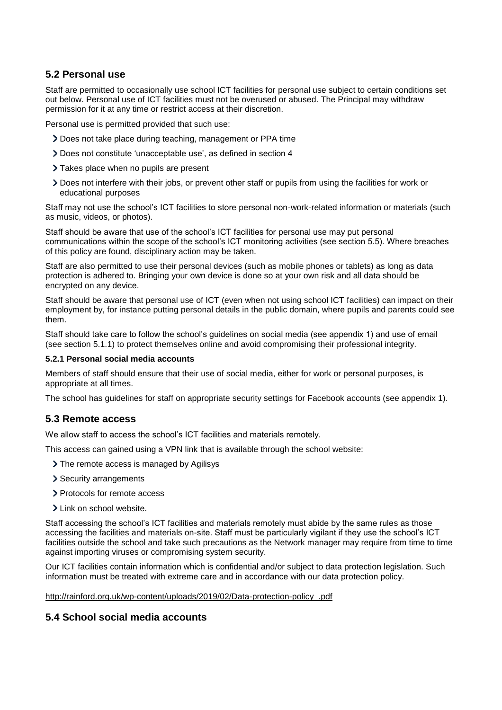## **5.2 Personal use**

Staff are permitted to occasionally use school ICT facilities for personal use subject to certain conditions set out below. Personal use of ICT facilities must not be overused or abused. The Principal may withdraw permission for it at any time or restrict access at their discretion.

Personal use is permitted provided that such use:

- Does not take place during teaching, management or PPA time
- Does not constitute 'unacceptable use', as defined in section 4
- > Takes place when no pupils are present
- Does not interfere with their jobs, or prevent other staff or pupils from using the facilities for work or educational purposes

Staff may not use the school's ICT facilities to store personal non-work-related information or materials (such as music, videos, or photos).

Staff should be aware that use of the school's ICT facilities for personal use may put personal communications within the scope of the school's ICT monitoring activities (see section 5.5). Where breaches of this policy are found, disciplinary action may be taken.

Staff are also permitted to use their personal devices (such as mobile phones or tablets) as long as data protection is adhered to. Bringing your own device is done so at your own risk and all data should be encrypted on any device.

Staff should be aware that personal use of ICT (even when not using school ICT facilities) can impact on their employment by, for instance putting personal details in the public domain, where pupils and parents could see them.

Staff should take care to follow the school's guidelines on social media (see appendix 1) and use of email (see section 5.1.1) to protect themselves online and avoid compromising their professional integrity.

#### **5.2.1 Personal social media accounts**

Members of staff should ensure that their use of social media, either for work or personal purposes, is appropriate at all times.

The school has guidelines for staff on appropriate security settings for Facebook accounts (see appendix 1).

#### **5.3 Remote access**

We allow staff to access the school's ICT facilities and materials remotely.

This access can gained using a VPN link that is available through the school website:

- > The remote access is managed by Agilisys
- > Security arrangements
- > Protocols for remote access
- > Link on school website.

Staff accessing the school's ICT facilities and materials remotely must abide by the same rules as those accessing the facilities and materials on-site. Staff must be particularly vigilant if they use the school's ICT facilities outside the school and take such precautions as the Network manager may require from time to time against importing viruses or compromising system security.

Our ICT facilities contain information which is confidential and/or subject to data protection legislation. Such information must be treated with extreme care and in accordance with our data protection policy.

[http://rainford.org.uk/wp-content/uploads/2019/02/Data-protection-policy\\_.pdf](http://rainford.org.uk/wp-content/uploads/2019/02/Data-protection-policy_.pdf)

## **5.4 School social media accounts**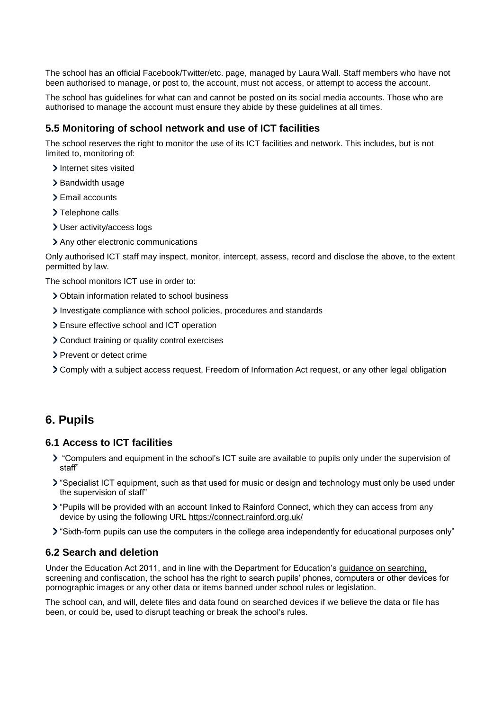The school has an official Facebook/Twitter/etc. page, managed by Laura Wall. Staff members who have not been authorised to manage, or post to, the account, must not access, or attempt to access the account.

The school has guidelines for what can and cannot be posted on its social media accounts. Those who are authorised to manage the account must ensure they abide by these guidelines at all times.

#### **5.5 Monitoring of school network and use of ICT facilities**

The school reserves the right to monitor the use of its ICT facilities and network. This includes, but is not limited to, monitoring of:

- > Internet sites visited
- > Bandwidth usage
- > Email accounts
- > Telephone calls
- User activity/access logs
- > Any other electronic communications

Only authorised ICT staff may inspect, monitor, intercept, assess, record and disclose the above, to the extent permitted by law.

The school monitors ICT use in order to:

- Obtain information related to school business
- Investigate compliance with school policies, procedures and standards
- Ensure effective school and ICT operation
- Conduct training or quality control exercises
- > Prevent or detect crime
- Comply with a subject access request, Freedom of Information Act request, or any other legal obligation

## <span id="page-6-0"></span>**6. Pupils**

#### **6.1 Access to ICT facilities**

- "Computers and equipment in the school's ICT suite are available to pupils only under the supervision of staff"
- "Specialist ICT equipment, such as that used for music or design and technology must only be used under the supervision of staff"
- > "Pupils will be provided with an account linked to Rainford Connect, which they can access from any device by using the following URL<https://connect.rainford.org.uk/>
- "Sixth-form pupils can use the computers in the college area independently for educational purposes only"

### **6.2 Search and deletion**

Under the Education Act 2011, and in line with the Department for Education's [guidance on searching,](https://www.gov.uk/government/publications/searching-screening-and-confiscation)  [screening and confiscation,](https://www.gov.uk/government/publications/searching-screening-and-confiscation) the school has the right to search pupils' phones, computers or other devices for pornographic images or any other data or items banned under school rules or legislation.

The school can, and will, delete files and data found on searched devices if we believe the data or file has been, or could be, used to disrupt teaching or break the school's rules.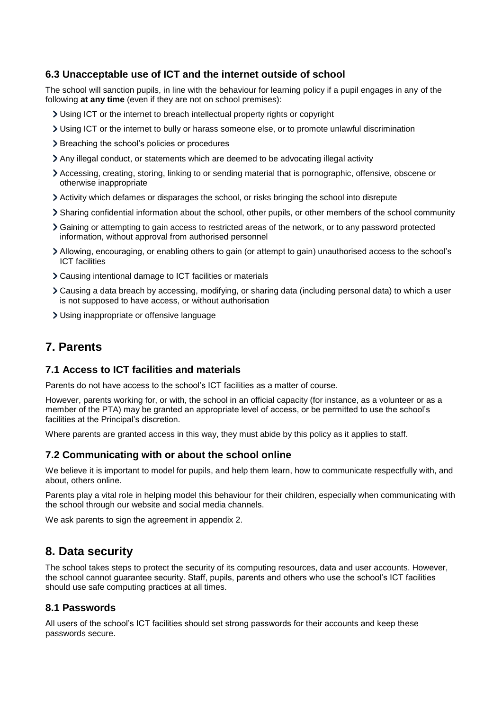## **6.3 Unacceptable use of ICT and the internet outside of school**

The school will sanction pupils, in line with the behaviour for learning policy if a pupil engages in any of the following **at any time** (even if they are not on school premises):

- Using ICT or the internet to breach intellectual property rights or copyright
- Using ICT or the internet to bully or harass someone else, or to promote unlawful discrimination
- > Breaching the school's policies or procedures
- Any illegal conduct, or statements which are deemed to be advocating illegal activity
- Accessing, creating, storing, linking to or sending material that is pornographic, offensive, obscene or otherwise inappropriate
- Activity which defames or disparages the school, or risks bringing the school into disrepute
- Sharing confidential information about the school, other pupils, or other members of the school community
- Gaining or attempting to gain access to restricted areas of the network, or to any password protected information, without approval from authorised personnel
- Allowing, encouraging, or enabling others to gain (or attempt to gain) unauthorised access to the school's ICT facilities
- Causing intentional damage to ICT facilities or materials
- Causing a data breach by accessing, modifying, or sharing data (including personal data) to which a user is not supposed to have access, or without authorisation
- Using inappropriate or offensive language

## <span id="page-7-0"></span>**7. Parents**

### **7.1 Access to ICT facilities and materials**

Parents do not have access to the school's ICT facilities as a matter of course.

However, parents working for, or with, the school in an official capacity (for instance, as a volunteer or as a member of the PTA) may be granted an appropriate level of access, or be permitted to use the school's facilities at the Principal's discretion.

Where parents are granted access in this way, they must abide by this policy as it applies to staff.

## **7.2 Communicating with or about the school online**

We believe it is important to model for pupils, and help them learn, how to communicate respectfully with, and about, others online.

Parents play a vital role in helping model this behaviour for their children, especially when communicating with the school through our website and social media channels.

We ask parents to sign the agreement in appendix 2.

## <span id="page-7-1"></span>**8. Data security**

The school takes steps to protect the security of its computing resources, data and user accounts. However, the school cannot guarantee security. Staff, pupils, parents and others who use the school's ICT facilities should use safe computing practices at all times.

#### **8.1 Passwords**

All users of the school's ICT facilities should set strong passwords for their accounts and keep these passwords secure.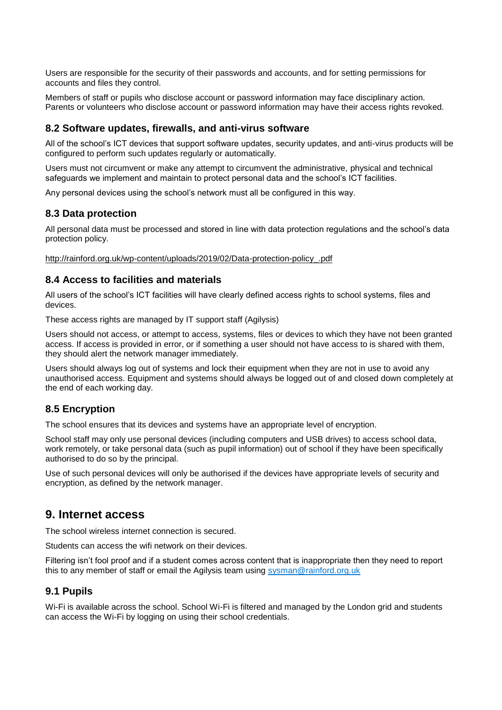Users are responsible for the security of their passwords and accounts, and for setting permissions for accounts and files they control.

Members of staff or pupils who disclose account or password information may face disciplinary action. Parents or volunteers who disclose account or password information may have their access rights revoked.

#### **8.2 Software updates, firewalls, and anti-virus software**

All of the school's ICT devices that support software updates, security updates, and anti-virus products will be configured to perform such updates regularly or automatically.

Users must not circumvent or make any attempt to circumvent the administrative, physical and technical safeguards we implement and maintain to protect personal data and the school's ICT facilities.

Any personal devices using the school's network must all be configured in this way.

#### **8.3 Data protection**

All personal data must be processed and stored in line with data protection regulations and the school's data protection policy.

[http://rainford.org.uk/wp-content/uploads/2019/02/Data-protection-policy\\_.pdf](http://rainford.org.uk/wp-content/uploads/2019/02/Data-protection-policy_.pdf)

#### **8.4 Access to facilities and materials**

All users of the school's ICT facilities will have clearly defined access rights to school systems, files and devices.

These access rights are managed by IT support staff (Agilysis)

Users should not access, or attempt to access, systems, files or devices to which they have not been granted access. If access is provided in error, or if something a user should not have access to is shared with them, they should alert the network manager immediately.

Users should always log out of systems and lock their equipment when they are not in use to avoid any unauthorised access. Equipment and systems should always be logged out of and closed down completely at the end of each working day.

#### **8.5 Encryption**

The school ensures that its devices and systems have an appropriate level of encryption.

School staff may only use personal devices (including computers and USB drives) to access school data, work remotely, or take personal data (such as pupil information) out of school if they have been specifically authorised to do so by the principal.

Use of such personal devices will only be authorised if the devices have appropriate levels of security and encryption, as defined by the network manager.

## <span id="page-8-0"></span>**9. Internet access**

The school wireless internet connection is secured.

Students can access the wifi network on their devices.

Filtering isn't fool proof and if a student comes across content that is inappropriate then they need to report this to any member of staff or email the Agilysis team using [sysman@rainford.org.uk](mailto:sysman@rainford.org.uk)

#### **9.1 Pupils**

Wi-Fi is available across the school. School Wi-Fi is filtered and managed by the London grid and students can access the Wi-Fi by logging on using their school credentials.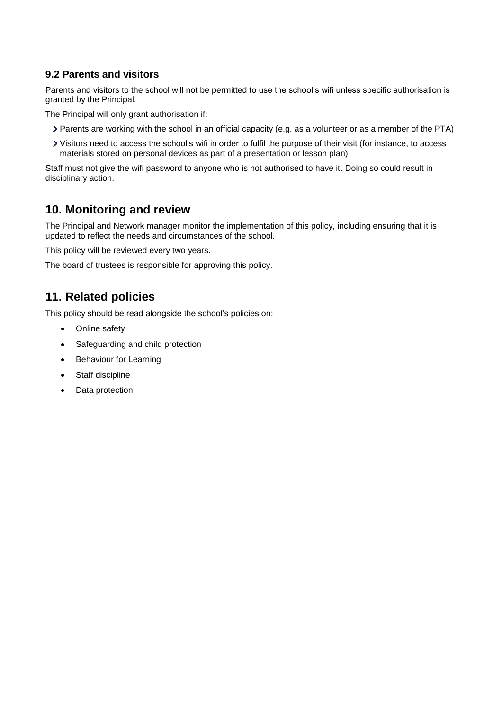## **9.2 Parents and visitors**

Parents and visitors to the school will not be permitted to use the school's wifi unless specific authorisation is granted by the Principal.

The Principal will only grant authorisation if:

- Parents are working with the school in an official capacity (e.g. as a volunteer or as a member of the PTA)
- Visitors need to access the school's wifi in order to fulfil the purpose of their visit (for instance, to access materials stored on personal devices as part of a presentation or lesson plan)

Staff must not give the wifi password to anyone who is not authorised to have it. Doing so could result in disciplinary action.

## <span id="page-9-0"></span>**10. Monitoring and review**

The Principal and Network manager monitor the implementation of this policy, including ensuring that it is updated to reflect the needs and circumstances of the school.

This policy will be reviewed every two years.

The board of trustees is responsible for approving this policy.

## <span id="page-9-1"></span>**11. Related policies**

This policy should be read alongside the school's policies on:

- Online safety
- Safeguarding and child protection
- **Behaviour for Learning**
- Staff discipline
- Data protection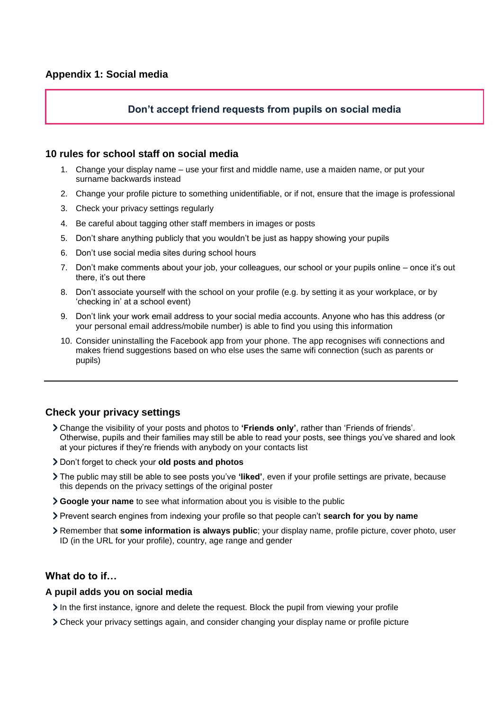## **Don't accept friend requests from pupils on social media**

#### <span id="page-10-0"></span>**10 rules for school staff on social media**

- 1. Change your display name use your first and middle name, use a maiden name, or put your surname backwards instead
- 2. Change your profile picture to something unidentifiable, or if not, ensure that the image is professional
- 3. Check your privacy settings regularly
- 4. Be careful about tagging other staff members in images or posts
- 5. Don't share anything publicly that you wouldn't be just as happy showing your pupils
- 6. Don't use social media sites during school hours
- 7. Don't make comments about your job, your colleagues, our school or your pupils online once it's out there, it's out there
- 8. Don't associate yourself with the school on your profile (e.g. by setting it as your workplace, or by 'checking in' at a school event)
- 9. Don't link your work email address to your social media accounts. Anyone who has this address (or your personal email address/mobile number) is able to find you using this information
- 10. Consider uninstalling the Facebook app from your phone. The app recognises wifi connections and makes friend suggestions based on who else uses the same wifi connection (such as parents or pupils)

#### **Check your privacy settings**

- Change the visibility of your posts and photos to **'Friends only'**, rather than 'Friends of friends'. Otherwise, pupils and their families may still be able to read your posts, see things you've shared and look at your pictures if they're friends with anybody on your contacts list
- Don't forget to check your **old posts and photos**
- The public may still be able to see posts you've **'liked'**, even if your profile settings are private, because this depends on the privacy settings of the original poster
- **Google your name** to see what information about you is visible to the public
- Prevent search engines from indexing your profile so that people can't **search for you by name**
- Remember that **some information is always public**; your display name, profile picture, cover photo, user ID (in the URL for your profile), country, age range and gender

#### **What do to if…**

#### **A pupil adds you on social media**

- $\geq$  In the first instance, ignore and delete the request. Block the pupil from viewing your profile
- Check your privacy settings again, and consider changing your display name or profile picture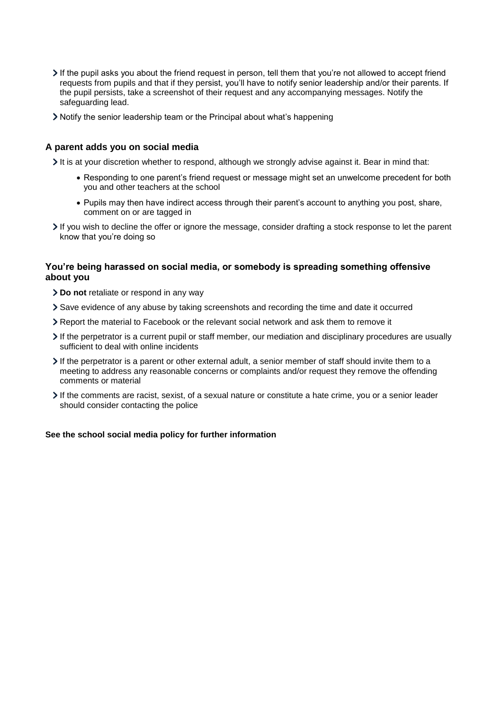- If the pupil asks you about the friend request in person, tell them that you're not allowed to accept friend requests from pupils and that if they persist, you'll have to notify senior leadership and/or their parents. If the pupil persists, take a screenshot of their request and any accompanying messages. Notify the safeguarding lead.
- Notify the senior leadership team or the Principal about what's happening

#### **A parent adds you on social media**

It is at your discretion whether to respond, although we strongly advise against it. Bear in mind that:

- Responding to one parent's friend request or message might set an unwelcome precedent for both you and other teachers at the school
- Pupils may then have indirect access through their parent's account to anything you post, share, comment on or are tagged in
- If you wish to decline the offer or ignore the message, consider drafting a stock response to let the parent know that you're doing so

#### **You're being harassed on social media, or somebody is spreading something offensive about you**

- **Do not** retaliate or respond in any way
- Save evidence of any abuse by taking screenshots and recording the time and date it occurred
- Report the material to Facebook or the relevant social network and ask them to remove it
- If the perpetrator is a current pupil or staff member, our mediation and disciplinary procedures are usually sufficient to deal with online incidents
- If the perpetrator is a parent or other external adult, a senior member of staff should invite them to a meeting to address any reasonable concerns or complaints and/or request they remove the offending comments or material
- If the comments are racist, sexist, of a sexual nature or constitute a hate crime, you or a senior leader should consider contacting the police

#### **See the school social media policy for further information**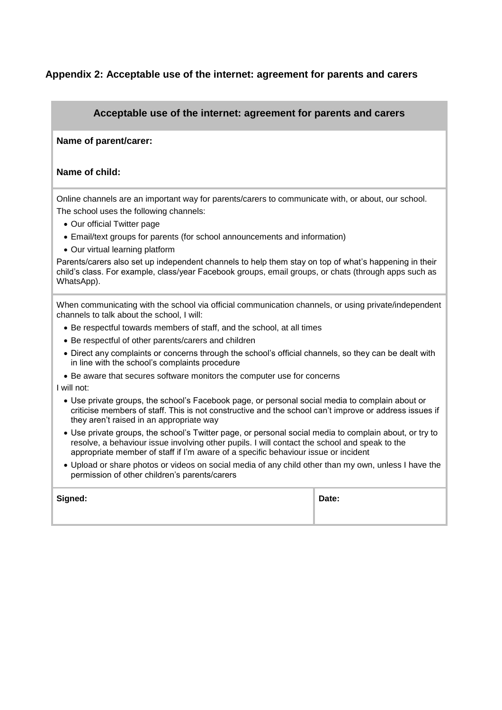## <span id="page-12-0"></span>**Appendix 2: Acceptable use of the internet: agreement for parents and carers**

### **Acceptable use of the internet: agreement for parents and carers**

#### **Name of parent/carer:**

#### **Name of child:**

Online channels are an important way for parents/carers to communicate with, or about, our school. The school uses the following channels:

- Our official Twitter page
- Email/text groups for parents (for school announcements and information)
- Our virtual learning platform

Parents/carers also set up independent channels to help them stay on top of what's happening in their child's class. For example, class/year Facebook groups, email groups, or chats (through apps such as WhatsApp).

When communicating with the school via official communication channels, or using private/independent channels to talk about the school, I will:

- Be respectful towards members of staff, and the school, at all times
- Be respectful of other parents/carers and children
- Direct any complaints or concerns through the school's official channels, so they can be dealt with in line with the school's complaints procedure
- Be aware that secures software monitors the computer use for concerns

I will not:

- Use private groups, the school's Facebook page, or personal social media to complain about or criticise members of staff. This is not constructive and the school can't improve or address issues if they aren't raised in an appropriate way
- Use private groups, the school's Twitter page, or personal social media to complain about, or try to resolve, a behaviour issue involving other pupils. I will contact the school and speak to the appropriate member of staff if I'm aware of a specific behaviour issue or incident
- Upload or share photos or videos on social media of any child other than my own, unless I have the permission of other children's parents/carers

| Signed: | Date: |
|---------|-------|
|         |       |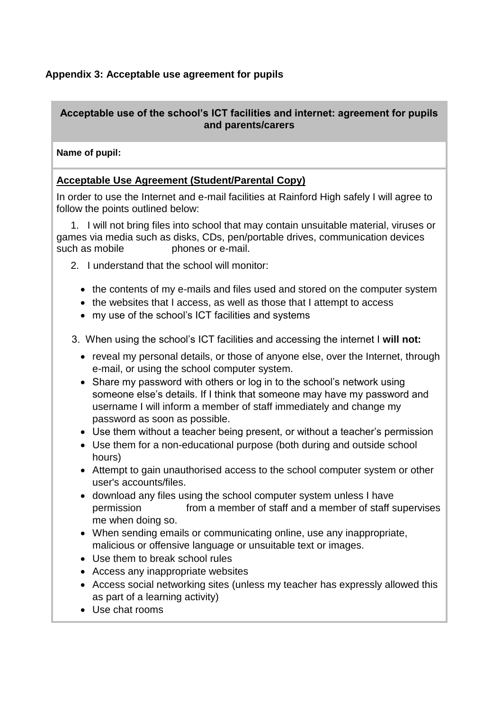## <span id="page-13-0"></span>**Appendix 3: Acceptable use agreement for pupils**

## **Acceptable use of the school's ICT facilities and internet: agreement for pupils and parents/carers**

## **Name of pupil:**

## **Acceptable Use Agreement (Student/Parental Copy)**

In order to use the Internet and e-mail facilities at Rainford High safely I will agree to follow the points outlined below:

 1. I will not bring files into school that may contain unsuitable material, viruses or games via media such as disks, CDs, pen/portable drives, communication devices such as mobile bhones or e-mail.

- 2. I understand that the school will monitor:
	- the contents of my e-mails and files used and stored on the computer system
	- the websites that I access, as well as those that I attempt to access
	- my use of the school's ICT facilities and systems
- 3. When using the school's ICT facilities and accessing the internet I **will not:**
	- reveal my personal details, or those of anyone else, over the Internet, through e-mail, or using the school computer system.
	- Share my password with others or log in to the school's network using someone else's details. If I think that someone may have my password and username I will inform a member of staff immediately and change my password as soon as possible.
	- Use them without a teacher being present, or without a teacher's permission
	- Use them for a non-educational purpose (both during and outside school hours)
	- Attempt to gain unauthorised access to the school computer system or other user's accounts/files.
	- download any files using the school computer system unless I have permission from a member of staff and a member of staff supervises me when doing so.
	- When sending emails or communicating online, use any inappropriate, malicious or offensive language or unsuitable text or images.
	- Use them to break school rules
	- Access any inappropriate websites
	- Access social networking sites (unless my teacher has expressly allowed this as part of a learning activity)
	- Use chat rooms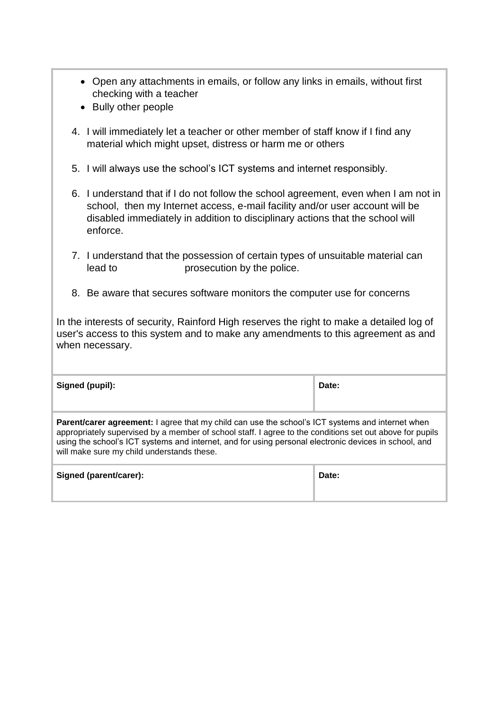- Open any attachments in emails, or follow any links in emails, without first checking with a teacher
- Bully other people
- 4. I will immediately let a teacher or other member of staff know if I find any material which might upset, distress or harm me or others
- 5. I will always use the school's ICT systems and internet responsibly.
- 6. I understand that if I do not follow the school agreement, even when I am not in school, then my Internet access, e-mail facility and/or user account will be disabled immediately in addition to disciplinary actions that the school will enforce.
- 7. I understand that the possession of certain types of unsuitable material can lead to **prosecution** by the police.
- 8. Be aware that secures software monitors the computer use for concerns

In the interests of security, Rainford High reserves the right to make a detailed log of user's access to this system and to make any amendments to this agreement as and when necessary.

| Signed (pupil):                                                                                                                                                                                                                                                                                                                                                     | Date: |  |  |
|---------------------------------------------------------------------------------------------------------------------------------------------------------------------------------------------------------------------------------------------------------------------------------------------------------------------------------------------------------------------|-------|--|--|
| Parent/carer agreement: I agree that my child can use the school's ICT systems and internet when<br>appropriately supervised by a member of school staff. I agree to the conditions set out above for pupils<br>using the school's ICT systems and internet, and for using personal electronic devices in school, and<br>will make sure my child understands these. |       |  |  |
| Signed (parent/carer):                                                                                                                                                                                                                                                                                                                                              | Date: |  |  |